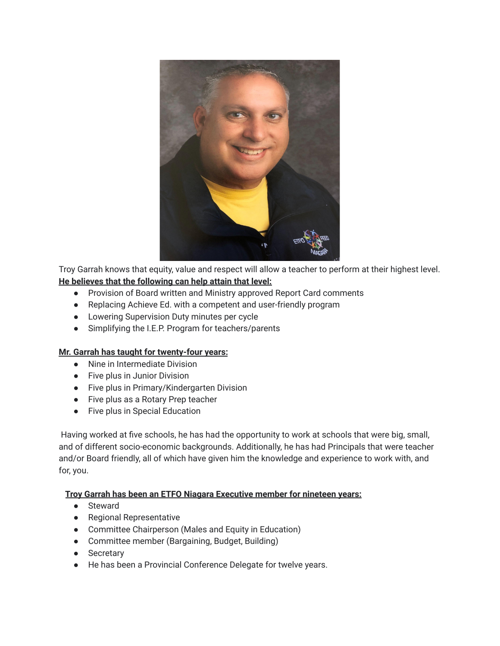

Troy Garrah knows that equity, value and respect will allow a teacher to perform at their highest level. **He believes that the following can help attain that level:**

- Provision of Board written and Ministry approved Report Card comments
- Replacing Achieve Ed. with a competent and user-friendly program
- Lowering Supervision Duty minutes per cycle
- Simplifying the I.E.P. Program for teachers/parents

## **Mr. Garrah has taught for twenty-four years:**

- Nine in Intermediate Division
- Five plus in Junior Division
- Five plus in Primary/Kindergarten Division
- Five plus as a Rotary Prep teacher
- Five plus in Special Education

Having worked at five schools, he has had the opportunity to work at schools that were big, small, and of different socio-economic backgrounds. Additionally, he has had Principals that were teacher and/or Board friendly, all of which have given him the knowledge and experience to work with, and for, you.

## **Troy Garrah has been an ETFO Niagara Executive member for nineteen years:**

- Steward
- Regional Representative
- Committee Chairperson (Males and Equity in Education)
- Committee member (Bargaining, Budget, Building)
- Secretary
- He has been a Provincial Conference Delegate for twelve years.